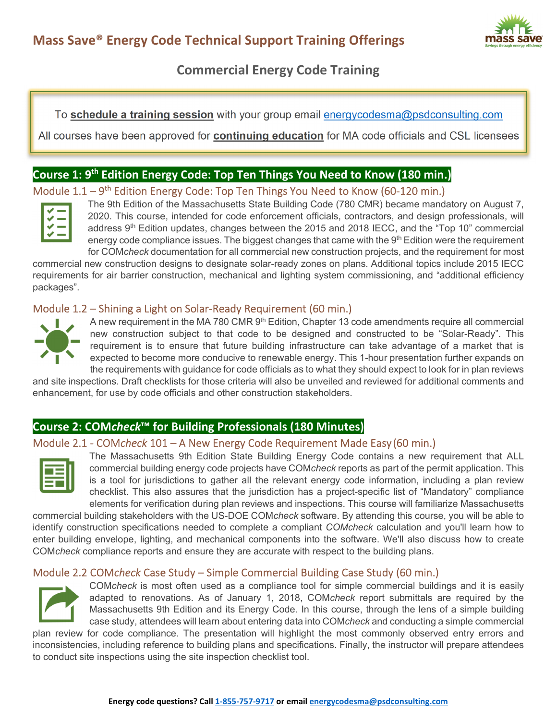

# **Commercial Energy Code Training**

To **schedule a training session** with your group email energycodesma@psdconsulting.com

All courses have been approved for **continuing education** for MA code officials and CSL licensees

# **Course 1: 9th Edition Energy Code: Top Ten Things You Need to Know (180 min.)**

# Module  $1.1 - 9$ <sup>th</sup> Edition Energy Code: Top Ten Things You Need to Know (60-120 min.)



The 9th Edition of the Massachusetts State Building Code (780 CMR) became mandatory on August 7, 2020. This course, intended for code enforcement officials, contractors, and design professionals, will address  $9<sup>th</sup>$  Edition updates, changes between the 2015 and 2018 IECC, and the "Top 10" commercial energy code compliance issues. The biggest changes that came with the 9<sup>th</sup> Edition were the requirement for COM*check* documentation for all commercial new construction projects, and the requirement for most

commercial new construction designs to designate solar-ready zones on plans. Additional topics include 2015 IECC requirements for air barrier construction, mechanical and lighting system commissioning, and "additional efficiency packages".

### Module 1.2 – Shining a Light on Solar-Ready Requirement (60 min.)



A new requirement in the MA 780 CMR 9<sup>th</sup> Edition, Chapter 13 code amendments require all commercial new construction subject to that code to be designed and constructed to be "Solar-Ready". This requirement is to ensure that future building infrastructure can take advantage of a market that is expected to become more conducive to renewable energy. This 1-hour presentation further expands on the requirements with guidance for code officials as to what they should expect to look for in plan reviews

and site inspections. Draft checklists for those criteria will also be unveiled and reviewed for additional comments and enhancement, for use by code officials and other construction stakeholders.

# **Course 2: COM***check***™ for Building Professionals (180 Minutes)**

### Module 2.1 - COM*check* 101 – A New Energy Code Requirement Made Easy (60 min.)



The Massachusetts 9th Edition State Building Energy Code contains a new requirement that ALL commercial building energy code projects have COM*check* reports as part of the permit application. This is a tool for jurisdictions to gather all the relevant energy code information, including a plan review checklist. This also assures that the jurisdiction has a project-specific list of "Mandatory" compliance elements for verification during plan reviews and inspections. This course will familiarize Massachusetts

commercial building stakeholders with the US-DOE COM*check* software. By attending this course, you will be able to identify construction specifications needed to complete a compliant *COMcheck* calculation and you'll learn how to enter building envelope, lighting, and mechanical components into the software. We'll also discuss how to create COM*check* compliance reports and ensure they are accurate with respect to the building plans.

# Module 2.2 COM*check* Case Study – Simple Commercial Building Case Study (60 min.)



COM*check* is most often used as a compliance tool for simple commercial buildings and it is easily adapted to renovations. As of January 1, 2018, COM*check* report submittals are required by the Massachusetts 9th Edition and its Energy Code. In this course, through the lens of a simple building case study, attendees will learn about entering data into COM*check* and conducting a simple commercial

plan review for code compliance. The presentation will highlight the most commonly observed entry errors and inconsistencies, including reference to building plans and specifications. Finally, the instructor will prepare attendees to conduct site inspections using the site inspection checklist tool.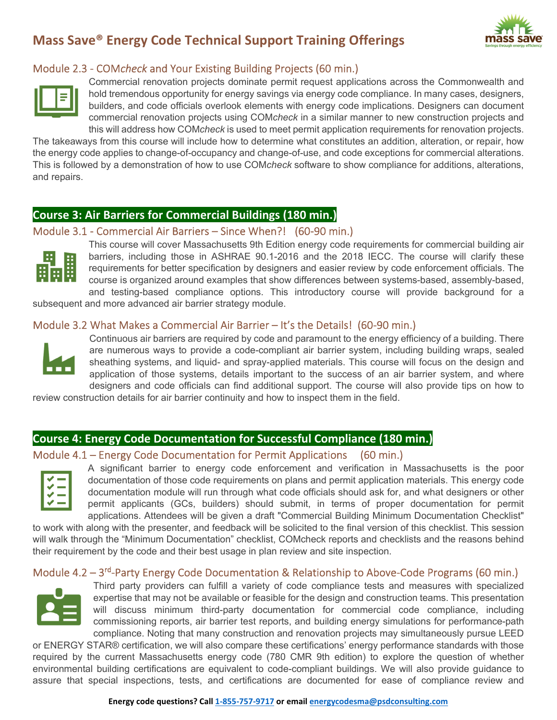# **Mass Save® Energy Code Technical Support Training Offerings**



### Module 2.3 - COM*check* and Your Existing Building Projects (60 min.)



Commercial renovation projects dominate permit request applications across the Commonwealth and hold tremendous opportunity for energy savings via energy code compliance. In many cases, designers, builders, and code officials overlook elements with energy code implications. Designers can document commercial renovation projects using COM*check* in a similar manner to new construction projects and this will address how COM*check* is used to meet permit application requirements for renovation projects.

The takeaways from this course will include how to determine what constitutes an addition, alteration, or repair, how the energy code applies to change-of-occupancy and change-of-use, and code exceptions for commercial alterations. This is followed by a demonstration of how to use COM*check* software to show compliance for additions, alterations, and repairs.

# **Course 3: Air Barriers for Commercial Buildings (180 min.)**

#### Module 3.1 - Commercial Air Barriers – Since When?! (60-90 min.)



This course will cover Massachusetts 9th Edition energy code requirements for commercial building air barriers, including those in ASHRAE 90.1-2016 and the 2018 IECC. The course will clarify these requirements for better specification by designers and easier review by code enforcement officials. The course is organized around examples that show differences between systems-based, assembly-based, and testing-based compliance options. This introductory course will provide background for a

subsequent and more advanced air barrier strategy module.

#### Module 3.2 What Makes a Commercial Air Barrier – It's the Details! (60-90 min.)



Continuous air barriers are required by code and paramount to the energy efficiency of a building. There are numerous ways to provide a code-compliant air barrier system, including building wraps, sealed sheathing systems, and liquid- and spray-applied materials. This course will focus on the design and application of those systems, details important to the success of an air barrier system, and where designers and code officials can find additional support. The course will also provide tips on how to

review construction details for air barrier continuity and how to inspect them in the field.

#### **Course 4: Energy Code Documentation for Successful Compliance (180 min.)**

#### Module 4.1 – Energy Code Documentation for Permit Applications (60 min.)



A significant barrier to energy code enforcement and verification in Massachusetts is the poor documentation of those code requirements on plans and permit application materials. This energy code documentation module will run through what code officials should ask for, and what designers or other permit applicants (GCs, builders) should submit, in terms of proper documentation for permit applications. Attendees will be given a draft "Commercial Building Minimum Documentation Checklist"

to work with along with the presenter, and feedback will be solicited to the final version of this checklist. This session will walk through the "Minimum Documentation" checklist, COMcheck reports and checklists and the reasons behind their requirement by the code and their best usage in plan review and site inspection.

### Module 4.2 - 3<sup>rd</sup>-Party Energy Code Documentation & Relationship to Above-Code Programs (60 min.)



Third party providers can fulfill a variety of code compliance tests and measures with specialized expertise that may not be available or feasible for the design and construction teams. This presentation will discuss minimum third-party documentation for commercial code compliance, including commissioning reports, air barrier test reports, and building energy simulations for performance-path compliance. Noting that many construction and renovation projects may simultaneously pursue LEED

or ENERGY STAR® certification, we will also compare these certifications' energy performance standards with those required by the current Massachusetts energy code (780 CMR 9th edition) to explore the question of whether environmental building certifications are equivalent to code-compliant buildings. We will also provide guidance to assure that special inspections, tests, and certifications are documented for ease of compliance review and